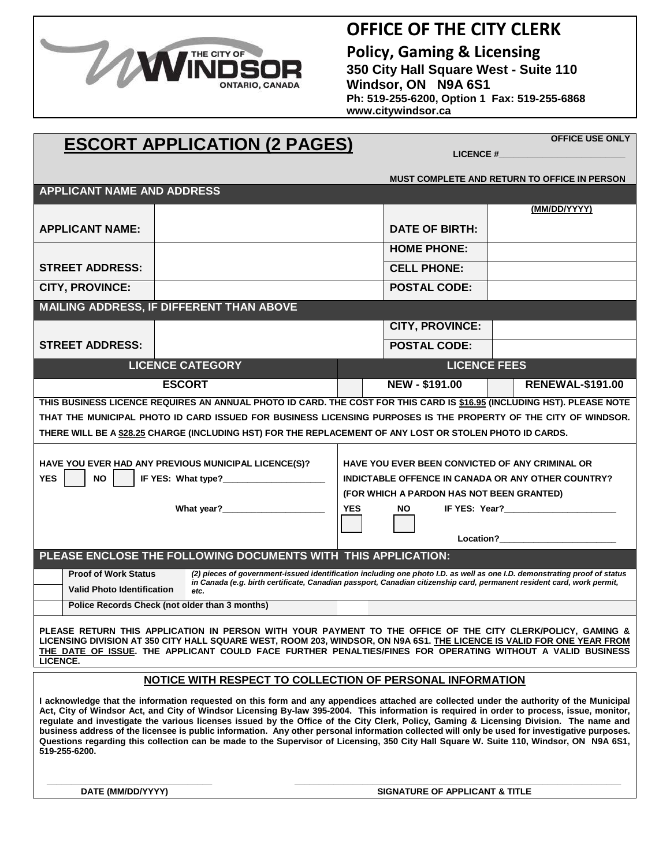

### **OFFICE OF THE CITY CLERK**

**Policy, Gaming & Licensing 350 City Hall Square West - Suite 110 Windsor, ON N9A 6S1 Ph: 519-255-6200, Option 1 Fax: 519-255-6868 www.citywindsor.ca**

 **LICENCE #\_\_\_\_\_\_\_\_\_\_\_\_\_\_\_\_\_\_\_\_\_\_\_\_\_\_**

# **ESCORT APPLICATION (2 PAGES)**

**OFFICE USE ONLY**

**MUST COMPLETE AND RETURN TO OFFICE IN PERSON**

| <b>APPLICANT NAME AND ADDRESS</b>                                                                                                                                                                                                                                                                                                                                                                                                                                                                                                                                                                                                                                                                                                               |                                                                                                                                |                                                    |                                           |                         |  |
|-------------------------------------------------------------------------------------------------------------------------------------------------------------------------------------------------------------------------------------------------------------------------------------------------------------------------------------------------------------------------------------------------------------------------------------------------------------------------------------------------------------------------------------------------------------------------------------------------------------------------------------------------------------------------------------------------------------------------------------------------|--------------------------------------------------------------------------------------------------------------------------------|----------------------------------------------------|-------------------------------------------|-------------------------|--|
|                                                                                                                                                                                                                                                                                                                                                                                                                                                                                                                                                                                                                                                                                                                                                 |                                                                                                                                |                                                    |                                           | (MM/DD/YYYY)            |  |
| <b>APPLICANT NAME:</b>                                                                                                                                                                                                                                                                                                                                                                                                                                                                                                                                                                                                                                                                                                                          |                                                                                                                                |                                                    | <b>DATE OF BIRTH:</b>                     |                         |  |
|                                                                                                                                                                                                                                                                                                                                                                                                                                                                                                                                                                                                                                                                                                                                                 |                                                                                                                                |                                                    | <b>HOME PHONE:</b>                        |                         |  |
| <b>STREET ADDRESS:</b>                                                                                                                                                                                                                                                                                                                                                                                                                                                                                                                                                                                                                                                                                                                          |                                                                                                                                |                                                    | <b>CELL PHONE:</b>                        |                         |  |
| <b>CITY, PROVINCE:</b>                                                                                                                                                                                                                                                                                                                                                                                                                                                                                                                                                                                                                                                                                                                          |                                                                                                                                | <b>POSTAL CODE:</b>                                |                                           |                         |  |
| MAILING ADDRESS, IF DIFFERENT THAN ABOVE                                                                                                                                                                                                                                                                                                                                                                                                                                                                                                                                                                                                                                                                                                        |                                                                                                                                |                                                    |                                           |                         |  |
|                                                                                                                                                                                                                                                                                                                                                                                                                                                                                                                                                                                                                                                                                                                                                 |                                                                                                                                | <b>CITY, PROVINCE:</b>                             |                                           |                         |  |
| <b>STREET ADDRESS:</b>                                                                                                                                                                                                                                                                                                                                                                                                                                                                                                                                                                                                                                                                                                                          |                                                                                                                                |                                                    | <b>POSTAL CODE:</b>                       |                         |  |
| <b>LICENCE CATEGORY</b>                                                                                                                                                                                                                                                                                                                                                                                                                                                                                                                                                                                                                                                                                                                         |                                                                                                                                |                                                    | <b>LICENCE FEES</b>                       |                         |  |
|                                                                                                                                                                                                                                                                                                                                                                                                                                                                                                                                                                                                                                                                                                                                                 | <b>ESCORT</b>                                                                                                                  |                                                    | NEW - \$191.00                            | <b>RENEWAL-\$191.00</b> |  |
| THIS BUSINESS LICENCE REQUIRES AN ANNUAL PHOTO ID CARD. THE COST FOR THIS CARD IS \$16.95 (INCLUDING HST). PLEASE NOTE                                                                                                                                                                                                                                                                                                                                                                                                                                                                                                                                                                                                                          |                                                                                                                                |                                                    |                                           |                         |  |
| THAT THE MUNICIPAL PHOTO ID CARD ISSUED FOR BUSINESS LICENSING PURPOSES IS THE PROPERTY OF THE CITY OF WINDSOR.                                                                                                                                                                                                                                                                                                                                                                                                                                                                                                                                                                                                                                 |                                                                                                                                |                                                    |                                           |                         |  |
| THERE WILL BE A \$28.25 CHARGE (INCLUDING HST) FOR THE REPLACEMENT OF ANY LOST OR STOLEN PHOTO ID CARDS.                                                                                                                                                                                                                                                                                                                                                                                                                                                                                                                                                                                                                                        |                                                                                                                                |                                                    |                                           |                         |  |
| HAVE YOU EVER HAD ANY PREVIOUS MUNICIPAL LICENCE(S)?<br><b>HAVE YOU EVER BEEN CONVICTED OF ANY CRIMINAL OR</b>                                                                                                                                                                                                                                                                                                                                                                                                                                                                                                                                                                                                                                  |                                                                                                                                |                                                    |                                           |                         |  |
| <b>YES</b><br><b>NO</b>                                                                                                                                                                                                                                                                                                                                                                                                                                                                                                                                                                                                                                                                                                                         |                                                                                                                                | INDICTABLE OFFENCE IN CANADA OR ANY OTHER COUNTRY? |                                           |                         |  |
|                                                                                                                                                                                                                                                                                                                                                                                                                                                                                                                                                                                                                                                                                                                                                 |                                                                                                                                |                                                    | (FOR WHICH A PARDON HAS NOT BEEN GRANTED) |                         |  |
|                                                                                                                                                                                                                                                                                                                                                                                                                                                                                                                                                                                                                                                                                                                                                 |                                                                                                                                | <b>YES</b><br>NO.                                  |                                           |                         |  |
|                                                                                                                                                                                                                                                                                                                                                                                                                                                                                                                                                                                                                                                                                                                                                 |                                                                                                                                | Location?<br><u>Location</u> ?                     |                                           |                         |  |
| PLEASE ENCLOSE THE FOLLOWING DOCUMENTS WITH THIS APPLICATION:                                                                                                                                                                                                                                                                                                                                                                                                                                                                                                                                                                                                                                                                                   |                                                                                                                                |                                                    |                                           |                         |  |
| (2) pieces of government-issued identification including one photo I.D. as well as one I.D. demonstrating proof of status<br><b>Proof of Work Status</b>                                                                                                                                                                                                                                                                                                                                                                                                                                                                                                                                                                                        |                                                                                                                                |                                                    |                                           |                         |  |
| <b>Valid Photo Identification</b>                                                                                                                                                                                                                                                                                                                                                                                                                                                                                                                                                                                                                                                                                                               | in Canada (e.g. birth certificate, Canadian passport, Canadian citizenship card, permanent resident card, work permit,<br>etc. |                                                    |                                           |                         |  |
|                                                                                                                                                                                                                                                                                                                                                                                                                                                                                                                                                                                                                                                                                                                                                 | Police Records Check (not older than 3 months)                                                                                 |                                                    |                                           |                         |  |
| PLEASE RETURN THIS APPLICATION IN PERSON WITH YOUR PAYMENT TO THE OFFICE OF THE CITY CLERK/POLICY, GAMING &<br>LICENSING DIVISION AT 350 CITY HALL SQUARE WEST, ROOM 203, WINDSOR, ON N9A 6S1. THE LICENCE IS VALID FOR ONE YEAR FROM<br>THE DATE OF ISSUE. THE APPLICANT COULD FACE FURTHER PENALTIES/FINES FOR OPERATING WITHOUT A VALID BUSINESS<br>LICENCE.                                                                                                                                                                                                                                                                                                                                                                                 |                                                                                                                                |                                                    |                                           |                         |  |
| NOTICE WITH RESPECT TO COLLECTION OF PERSONAL INFORMATION                                                                                                                                                                                                                                                                                                                                                                                                                                                                                                                                                                                                                                                                                       |                                                                                                                                |                                                    |                                           |                         |  |
| I acknowledge that the information requested on this form and any appendices attached are collected under the authority of the Municipal<br>Act, City of Windsor Act, and City of Windsor Licensing By-law 395-2004. This information is required in order to process, issue, monitor,<br>regulate and investigate the various licenses issued by the Office of the City Clerk, Policy, Gaming & Licensing Division. The name and<br>business address of the licensee is public information. Any other personal information collected will only be used for investigative purposes.<br>Questions regarding this collection can be made to the Supervisor of Licensing, 350 City Hall Square W. Suite 110, Windsor, ON N9A 6S1,<br>519-255-6200. |                                                                                                                                |                                                    |                                           |                         |  |